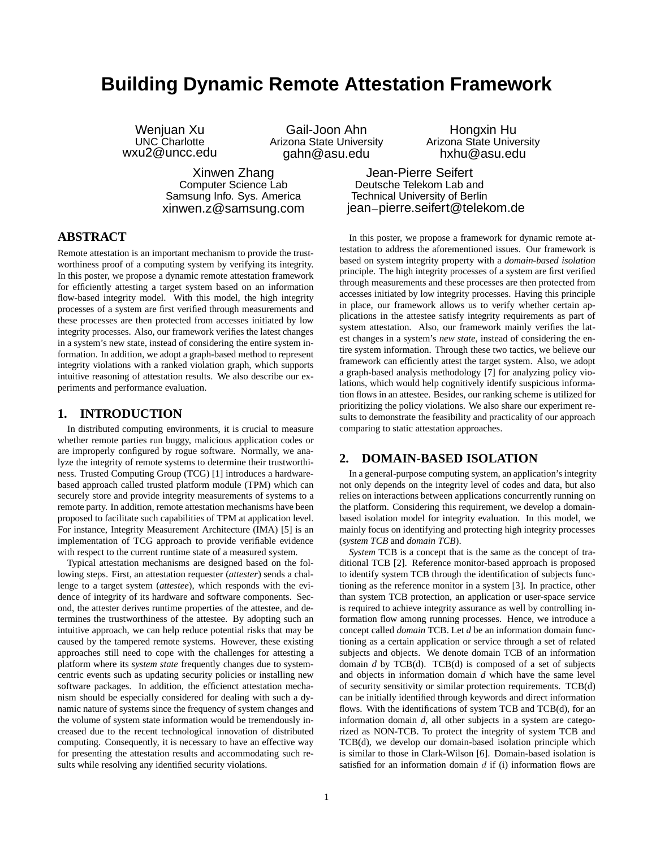# **Building Dynamic Remote Attestation Framework**

Gail-Joon Ahn Arizona State University

Weniuan Xu UNC Charlotte wxu2@uncc.edu

gahn@asu.edu Xinwen Zhang

Computer Science Lab Samsung Info. Sys. America xinwen.z@samsung.com

Hongxin Hu Arizona State University hxhu@asu.edu

Jean-Pierre Seifert Deutsche Telekom Lab and Technical University of Berlin jean−pierre.seifert@telekom.de

# **ABSTRACT**

Remote attestation is an important mechanism to provide the trustworthiness proof of a computing system by verifying its integrity. In this poster, we propose a dynamic remote attestation framework for efficiently attesting a target system based on an information flow-based integrity model. With this model, the high integrity processes of a system are first verified through measurements and these processes are then protected from accesses initiated by low integrity processes. Also, our framework verifies the latest changes in a system's new state, instead of considering the entire system information. In addition, we adopt a graph-based method to represent integrity violations with a ranked violation graph, which supports intuitive reasoning of attestation results. We also describe our experiments and performance evaluation.

#### **1. INTRODUCTION**

In distributed computing environments, it is crucial to measure whether remote parties run buggy, malicious application codes or are improperly configured by rogue software. Normally, we analyze the integrity of remote systems to determine their trustworthiness. Trusted Computing Group (TCG) [1] introduces a hardwarebased approach called trusted platform module (TPM) which can securely store and provide integrity measurements of systems to a remote party. In addition, remote attestation mechanisms have been proposed to facilitate such capabilities of TPM at application level. For instance, Integrity Measurement Architecture (IMA) [5] is an implementation of TCG approach to provide verifiable evidence with respect to the current runtime state of a measured system.

Typical attestation mechanisms are designed based on the following steps. First, an attestation requester (*attester*) sends a challenge to a target system (*attestee*), which responds with the evidence of integrity of its hardware and software components. Second, the attester derives runtime properties of the attestee, and determines the trustworthiness of the attestee. By adopting such an intuitive approach, we can help reduce potential risks that may be caused by the tampered remote systems. However, these existing approaches still need to cope with the challenges for attesting a platform where its *system state* frequently changes due to systemcentric events such as updating security policies or installing new software packages. In addition, the efficienct attestation mechanism should be especially considered for dealing with such a dynamic nature of systems since the frequency of system changes and the volume of system state information would be tremendously increased due to the recent technological innovation of distributed computing. Consequently, it is necessary to have an effective way for presenting the attestation results and accommodating such results while resolving any identified security violations.

In this poster, we propose a framework for dynamic remote attestation to address the aforementioned issues. Our framework is based on system integrity property with a *domain-based isolation* principle. The high integrity processes of a system are first verified through measurements and these processes are then protected from accesses initiated by low integrity processes. Having this principle in place, our framework allows us to verify whether certain applications in the attestee satisfy integrity requirements as part of system attestation. Also, our framework mainly verifies the latest changes in a system's *new state*, instead of considering the entire system information. Through these two tactics, we believe our framework can efficiently attest the target system. Also, we adopt a graph-based analysis methodology [7] for analyzing policy violations, which would help cognitively identify suspicious information flows in an attestee. Besides, our ranking scheme is utilized for prioritizing the policy violations. We also share our experiment results to demonstrate the feasibility and practicality of our approach comparing to static attestation approaches.

## **2. DOMAIN-BASED ISOLATION**

In a general-purpose computing system, an application's integrity not only depends on the integrity level of codes and data, but also relies on interactions between applications concurrently running on the platform. Considering this requirement, we develop a domainbased isolation model for integrity evaluation. In this model, we mainly focus on identifying and protecting high integrity processes (*system TCB* and *domain TCB*).

*System* TCB is a concept that is the same as the concept of traditional TCB [2]. Reference monitor-based approach is proposed to identify system TCB through the identification of subjects functioning as the reference monitor in a system [3]. In practice, other than system TCB protection, an application or user-space service is required to achieve integrity assurance as well by controlling information flow among running processes. Hence, we introduce a concept called *domain* TCB. Let *d* be an information domain functioning as a certain application or service through a set of related subjects and objects. We denote domain TCB of an information domain *d* by TCB(d). TCB(d) is composed of a set of subjects and objects in information domain *d* which have the same level of security sensitivity or similar protection requirements. TCB(d) can be initially identified through keywords and direct information flows. With the identifications of system TCB and TCB(d), for an information domain *d*, all other subjects in a system are categorized as NON-TCB. To protect the integrity of system TCB and TCB(d), we develop our domain-based isolation principle which is similar to those in Clark-Wilson [6]. Domain-based isolation is satisfied for an information domain  $d$  if (i) information flows are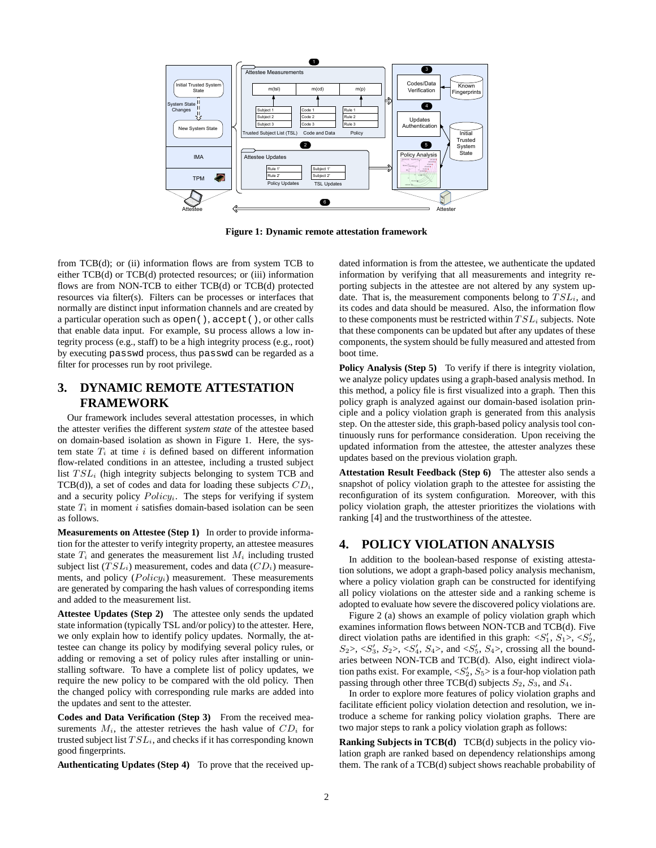

**Figure 1: Dynamic remote attestation framework**

from TCB(d); or (ii) information flows are from system TCB to either TCB(d) or TCB(d) protected resources; or (iii) information flows are from NON-TCB to either TCB(d) or TCB(d) protected resources via filter(s). Filters can be processes or interfaces that normally are distinct input information channels and are created by a particular operation such as open(), accept(), or other calls that enable data input. For example, su process allows a low integrity process (e.g., staff) to be a high integrity process (e.g., root) by executing passwd process, thus passwd can be regarded as a filter for processes run by root privilege.

# **3. DYNAMIC REMOTE ATTESTATION FRAMEWORK**

Our framework includes several attestation processes, in which the attester verifies the different *system state* of the attestee based on domain-based isolation as shown in Figure 1. Here, the system state  $T_i$  at time i is defined based on different information flow-related conditions in an attestee, including a trusted subject list  $TSL_i$  (high integrity subjects belonging to system TCB and TCB(d)), a set of codes and data for loading these subjects  $CD_i$ , and a security policy  $Policy_i$ . The steps for verifying if system state  $T_i$  in moment i satisfies domain-based isolation can be seen as follows.

**Measurements on Attestee (Step 1)** In order to provide information for the attester to verify integrity property, an attestee measures state  $T_i$  and generates the measurement list  $M_i$  including trusted subject list ( $TSL_i$ ) measurement, codes and data ( $CD_i$ ) measurements, and policy  $(Policy<sub>i</sub>)$  measurement. These measurements are generated by comparing the hash values of corresponding items and added to the measurement list.

**Attestee Updates (Step 2)** The attestee only sends the updated state information (typically TSL and/or policy) to the attester. Here, we only explain how to identify policy updates. Normally, the attestee can change its policy by modifying several policy rules, or adding or removing a set of policy rules after installing or uninstalling software. To have a complete list of policy updates, we require the new policy to be compared with the old policy. Then the changed policy with corresponding rule marks are added into the updates and sent to the attester.

**Codes and Data Verification (Step 3)** From the received measurements  $M_i$ , the attester retrieves the hash value of  $CD_i$  for trusted subject list  $TSL_i$ , and checks if it has corresponding known good fingerprints.

**Authenticating Updates (Step 4)** To prove that the received up-

dated information is from the attestee, we authenticate the updated information by verifying that all measurements and integrity reporting subjects in the attestee are not altered by any system update. That is, the measurement components belong to  $TSL_i$ , and its codes and data should be measured. Also, the information flow to these components must be restricted within  $TSL_i$  subjects. Note that these components can be updated but after any updates of these components, the system should be fully measured and attested from boot time.

**Policy Analysis (Step 5)** To verify if there is integrity violation, we analyze policy updates using a graph-based analysis method. In this method, a policy file is first visualized into a graph. Then this policy graph is analyzed against our domain-based isolation principle and a policy violation graph is generated from this analysis step. On the attester side, this graph-based policy analysis tool continuously runs for performance consideration. Upon receiving the updated information from the attestee, the attester analyzes these updates based on the previous violation graph.

**Attestation Result Feedback (Step 6)** The attester also sends a snapshot of policy violation graph to the attestee for assisting the reconfiguration of its system configuration. Moreover, with this policy violation graph, the attester prioritizes the violations with ranking [4] and the trustworthiness of the attestee.

## **4. POLICY VIOLATION ANALYSIS**

In addition to the boolean-based response of existing attestation solutions, we adopt a graph-based policy analysis mechanism, where a policy violation graph can be constructed for identifying all policy violations on the attester side and a ranking scheme is adopted to evaluate how severe the discovered policy violations are.

Figure 2 (a) shows an example of policy violation graph which examines information flows between NON-TCB and TCB(d). Five direct violation paths are identified in this graph:  $\langle S_1', S_1' \rangle, \langle S_2', \rangle$  $S_2$ >, < $S'_3$ ,  $S_2$ >, < $S'_4$ ,  $S_4$ >, and < $S'_5$ ,  $S_4$ >, crossing all the boundaries between NON-TCB and TCB(d). Also, eight indirect violation paths exist. For example,  $\langle S_2, S_5 \rangle$  is a four-hop violation path passing through other three TCB(d) subjects  $S_2$ ,  $S_3$ , and  $S_4$ .

In order to explore more features of policy violation graphs and facilitate efficient policy violation detection and resolution, we introduce a scheme for ranking policy violation graphs. There are two major steps to rank a policy violation graph as follows:

**Ranking Subjects in TCB(d)** TCB(d) subjects in the policy violation graph are ranked based on dependency relationships among them. The rank of a TCB(d) subject shows reachable probability of